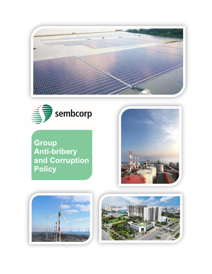



**Group Anti-bribery and Corruption Policy**





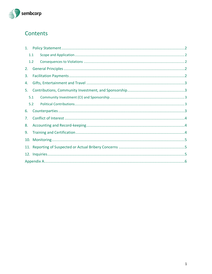

# Contents

| 1.  |     |  |  |  |  |  |
|-----|-----|--|--|--|--|--|
| 1.1 |     |  |  |  |  |  |
|     | 1.2 |  |  |  |  |  |
| 2.  |     |  |  |  |  |  |
| 3.  |     |  |  |  |  |  |
| 4.  |     |  |  |  |  |  |
| 5.  |     |  |  |  |  |  |
| 5.1 |     |  |  |  |  |  |
| 5.2 |     |  |  |  |  |  |
| 6.  |     |  |  |  |  |  |
| 7.  |     |  |  |  |  |  |
| 8.  |     |  |  |  |  |  |
| 9.  |     |  |  |  |  |  |
| 10. |     |  |  |  |  |  |
|     |     |  |  |  |  |  |
|     |     |  |  |  |  |  |
|     |     |  |  |  |  |  |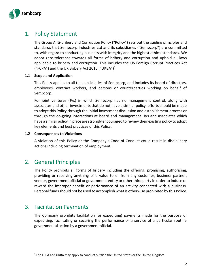

## <span id="page-2-0"></span>1. Policy Statement

The Group Anti-bribery and Corruption Policy ("Policy") sets out the guiding principles and standards that Sembcorp Industries Ltd and its subsidiaries ("Sembcorp") are committed to, with regard to conducting business with integrity and the highest ethical standards. We adopt zero-tolerance towards all forms of bribery and corruption and uphold all laws applicable to bribery and corruption. This includes the US Foreign Corrupt Practices Act ("FCPA") and the UK Bribery Act 2010 ("UKBA")<sup>1</sup>.

#### <span id="page-2-1"></span>**1.1 Scope and Application**

This Policy applies to all the subsidiaries of Sembcorp, and includes its board of directors, employees, contract workers, and persons or counterparties working on behalf of Sembcorp.

For joint ventures (JVs) in which Sembcorp has no management control, along with associates and other investments that do not have a similar policy, efforts should be made to adopt this Policy through the initial investment discussion and establishment process or through the on-going interactions at board and management. JVs and associates which have a similar policy in place are strongly encouraged to review their existing policy to adopt key elements and best practices of this Policy.

#### <span id="page-2-2"></span>**1.2 Consequences to Violations**

A violation of this Policy or the Company's Code of Conduct could result in disciplinary actions including termination of employment.

#### <span id="page-2-3"></span>2. General Principles

The Policy prohibits all forms of bribery including the offering, promising, authorising, providing or receiving anything of a value to or from any customer, business partner, vendor, government official or government entity or other third party in order to induce or reward the improper benefit or performance of an activity connected with a business. Personal funds should not be used to accomplish what is otherwise prohibited by this Policy.

### <span id="page-2-4"></span>3. Facilitation Payments

The Company prohibits facilitation (or expediting) payments made for the purpose of expediting, facilitating or securing the performance or a service of a particular routine governmental action by a government official.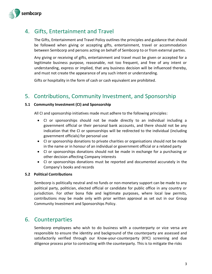

# <span id="page-3-0"></span>4. Gifts, Entertainment and Travel

The Gifts, Entertainment and Travel Policy outlines the principles and guidance that should be followed when giving or accepting gifts, entertainment, travel or accommodation between Sembcorp and persons acting on behalf of Sembcorp to or from external parties.

Any giving or receiving of gifts, entertainment and travel must be given or accepted for a legitimate business purpose, reasonable, not too frequent, and free of any intent or understanding, express or implied, that any business decision will be influenced thereby, and must not create the appearance of any such intent or understanding.

Gifts or hospitality in the form of cash or cash equivalent are prohibited.

# <span id="page-3-1"></span>5. Contributions, Community Investment, and Sponsorship

#### <span id="page-3-2"></span>**5.1 Community Investment (CI) and Sponsorship**

All CI and sponsorship initiatives made must adhere to the following principles:

- CI or sponsorships should not be made directly to an individual including a government official or their personal bank accounts, and there should not be any indication that the CI or sponsorships will be redirected to the individual (including government officials) for personal use
- CI or sponsorship donations to private charities or organisations should not be made in the name or in honour of an individual or government official or a related party
- CI or sponsorships donations should not be made in exchange for a purchasing or other decision affecting Company interests
- CI or sponsorships donations must be reported and documented accurately in the Company's books and records

#### <span id="page-3-3"></span>**5.2 Political Contributions**

Sembcorp is politically neutral and no funds or non-monetary support can be made to any political party, politician, elected official or candidate for public office in any country or jurisdiction. For other bona fide and legitimate purposes, where local law permits, contributions may be made only with prior written approval as set out in our Group Community Investment and Sponsorships Policy.

### <span id="page-3-4"></span>6. Counterparties

Sembcorp employees who wish to do business with a counterparty or vice versa are responsible to ensure the identity and background of the counterparty are assessed and satisfactorily verified through our Know-your-counterparty (KYC) screening and due diligence process prior to contracting with the counterparty. This is to mitigate the risks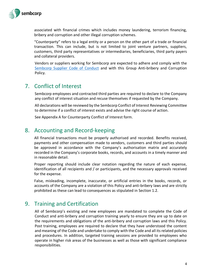

associated with financial crimes which includes money laundering, terrorism financing, bribery and corruption and other illegal corruption schemes.

"Counterparty" refers to a legal entity or a person on the other part of a trade or financial transaction. This can include, but is not limited to joint venture partners, suppliers, customers, third party representatives or intermediaries, beneficiaries, third party payers and collateral providers.

Vendors or suppliers working for Sembcorp are expected to adhere and comply with the Sembcorp [Supplier Code of Conduct](https://www.sembcorp.com/en/media/597360/sembcorp-supplier-code-of-conduct.pdf) and with this Group Anti-bribery and Corruption Policy.

## <span id="page-4-0"></span>7. Conflict of Interest

Sembcorp employees and contracted third parties are required to declare to the Company any conflict of interest situation and recuse themselves if requested by the Company.

All declarations will be reviewed by the Sembcorp Conflict of Interest Reviewing Committee to determine if a conflict of interest exists and advise the right course of action.

See Appendix A for Counterparty Conflict of Interest form.

### <span id="page-4-1"></span>8. Accounting and Record-keeping

All financial transactions must be properly authorised and recorded. Benefits received, payments and other compensation made to vendors, customers and third parties should be approved in accordance with the Company's authorisation matrix and accurately recorded in the Company's corporate books, records, and accounts in a timely manner and in reasonable detail.

Proper reporting should include clear notation regarding the nature of each expense, identification of all recipients and / or participants, and the necessary approvals received for the expense.

False, misleading, incomplete, inaccurate, or artificial entries in the books, records, or accounts of the Company are a violation of this Policy and anti-bribery laws and are strictly prohibited as these can lead to consequences as stipulated in Section 1.2.

## <span id="page-4-2"></span>9. Training and Certification

All of Sembcorp's existing and new employees are mandated to complete the Code of Conduct and anti-bribery and corruption training yearly to ensure they are up to date on the requirements and obligations of the anti-bribery and corruption laws and this Policy. Post training, employees are required to declare that they have understood the content and meaning of the Code and undertake to comply with the Code and all its related policies and procedures. In addition, targeted training sessions are provided to employees who operate in higher risk areas of the businesses as well as those with significant compliance responsibilities.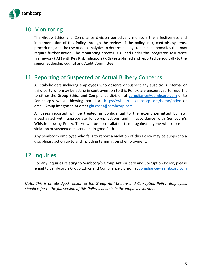

## <span id="page-5-0"></span>10. Monitoring

The Group Ethics and Compliance division periodically monitors the effectiveness and implementation of this Policy through the review of the policy, risk, controls, systems, procedures, and the use of data analytics to determine any trends and anomalies that may require further action. The monitoring process is guided under the Integrated Assurance Framework (IAF) with Key Risk Indicators (KRIs) established and reported periodically to the senior leadership council and Audit Committee.

## <span id="page-5-1"></span>11. Reporting of Suspected or Actual Bribery Concerns

All stakeholders including employees who observe or suspect any suspicious internal or third party who may be acting in contravention to this Policy, are encouraged to report it to either the Group Ethics and Compliance division at [compliance@sembcorp.com](mailto:compliance@sembcorp.com) or to Sembcorp's whistle-blowing portal at [https://wbportal.sembcorp.com/home/index](https://wbportal.sembcorp.com/Home/Index) or email Group Integrated Audit at [gia.cases@sembcorp.com](mailto:gia.cases@sembcorp.com)

All cases reported will be treated as confidential to the extent permitted by law, investigated with appropriate follow-up actions and in accordance with Sembcorp's Whistle-blowing Policy. There will be no retaliation taken against anyone who reports a violation or suspected misconduct in good faith.

Any Sembcorp employee who fails to report a violation of this Policy may be subject to a disciplinary action up to and including termination of employment.

### <span id="page-5-2"></span>12. Inquiries

For any inquiries relating to Sembcorp's Group Anti-bribery and Corruption Policy, please email to Sembcorp's Group Ethics and Compliance division at [compliance@sembcorp.com](mailto:compliance@sembcorp.com)

<span id="page-5-3"></span>*Note: This is an abridged version of the Group Anti-bribery and Corruption Policy. Employees should refer to the full version of this Policy available in the employee intranet.*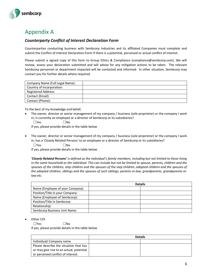

## Appendix A

#### *Counterparty Conflict of Interest Declaration Form*

Counterparties conducting business with Sembcorp Industries and its affiliated Companies must complete and submit the Conflict of Interest Declaration Form if there is a potential, perceived or actual conflict of interest.

Please submit a signed copy of this form to Group Ethics & Compliance (compliance@sembcorp.com). We will review, assess your declaration submitted and will advise for any mitigation actions to be taken. The relevant Sembcorp personnel or department impacted will be contacted and informed. In other situation, Sembcorp may contact you for further details where required.

| Company Name (Full Legal Name): |  |
|---------------------------------|--|
| Country of Incorporation:       |  |
| Registered Address:             |  |
| Contact (Email):                |  |
| Contact (Phone):                |  |

To the best of my knowledge and belief,

- The owner, director or senior management of my company / business (sole proprietor) or the company I work in, is currently an employee or a director of Sembcorp or its subsidiaries?  $\square$ Yes  $\square$ No If yes, please provide details in the table below
- The owner, director or senior management of my company / business (sole proprietor) or the company I work in, has a 'Closely Related Persons' to an employee or a director of Sembcorp or its subsidiaries?

 $\square$ Yes  $\square$ No

If yes, please provide details in the table below

*'Closely Related Persons' is defined as the individual's family members, including but not limited to those living in the same household as the individual. This can include but not be limited to spouse, parents, children and the*  spouses of the children, step children and the spouses of the step children, adopted children and the spouses of *the adopted children, siblings and the spouses of such siblings, parents-in-law, grandparents, grandparents-inlaw etc.*

|                                  | <b>Details</b> |  |
|----------------------------------|----------------|--|
| Name (Employee of your Company): |                |  |
| Position/Title in your Company:  |                |  |
| Name (Employee of Sembcorp):     |                |  |
| Position/Title in Sembcorp:      |                |  |
| Relationship:                    |                |  |
| Sembcorp Business Unit Name:     |                |  |

Other COI

 $\square$ Yes  $\square$ No If yes, please provide details in the table below

|                                          | <b>Details</b> |  |
|------------------------------------------|----------------|--|
| Individual/Company name                  |                |  |
| Please describe the situation that has   |                |  |
| or may give rise to an actual, potential |                |  |
| or perceived conflict of interest.       |                |  |